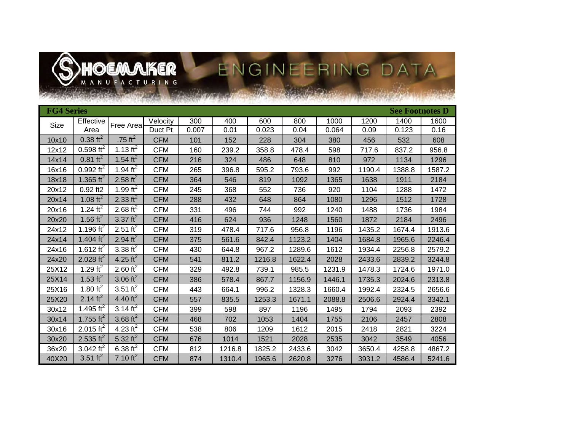

# S HOEMARER ENGINEERING DATA

| <b>FG4 Series</b> |                       |                      |            |       |        |        |        |        |        | <b>See Footnotes D</b> |        |
|-------------------|-----------------------|----------------------|------------|-------|--------|--------|--------|--------|--------|------------------------|--------|
| Size              | <b>Effective</b>      | Free Areal           | Velocity   | 300   | 400    | 600    | 800    | 1000   | 1200   | 1400                   | 1600   |
|                   | Area                  |                      | Duct Pt    | 0.007 | 0.01   | 0.023  | 0.04   | 0.064  | 0.09   | 0.123                  | 0.16   |
| 10x10             | $0.38 \text{ ft}^2$   | .75 $ft^2$           | <b>CFM</b> | 101   | 152    | 228    | 304    | 380    | 456    | 532                    | 608    |
| 12x12             | $0.598 \text{ ft}^2$  | 1.13 $ft^2$          | <b>CFM</b> | 160   | 239.2  | 358.8  | 478.4  | 598    | 717.6  | 837.2                  | 956.8  |
| 14x14             | $0.81 \text{ ft}^2$   | 1.54 ft <sup>2</sup> | CFM        | 216   | 324    | 486    | 648    | 810    | 972    | 1134                   | 1296   |
| 16x16             | $0.992 \text{ ft}^2$  | 1.94 $\text{ft}^2$   | <b>CFM</b> | 265   | 396.8  | 595.2  | 793.6  | 992    | 1190.4 | 1388.8                 | 1587.2 |
| 18x18             | 1.365 ft <sup>2</sup> | 2.58 $\text{ft}^2$   | <b>CFM</b> | 364   | 546    | 819    | 1092   | 1365   | 1638   | 1911                   | 2184   |
| 20x12             | $0.92$ ft2            | 1.99 $\text{ft}^2$   | <b>CFM</b> | 245   | 368    | 552    | 736    | 920    | 1104   | 1288                   | 1472   |
| 20x14             | 1.08 $\text{ft}^2$    | 2.33 $\text{ft}^2$   | <b>CFM</b> | 288   | 432    | 648    | 864    | 1080   | 1296   | 1512                   | 1728   |
| 20x16             | 1.24 $ft^2$           | 2.68 $\text{ft}^2$   | <b>CFM</b> | 331   | 496    | 744    | 992    | 1240   | 1488   | 1736                   | 1984   |
| 20x20             | 1.56 $\text{ft}^2$    | 3.37 $\text{ft}^2$   | <b>CFM</b> | 416   | 624    | 936    | 1248   | 1560   | 1872   | 2184                   | 2496   |
| 24x12             | 1.196 ft <sup>2</sup> | 2.51 ft <sup>2</sup> | CFM        | 319   | 478.4  | 717.6  | 956.8  | 1196   | 1435.2 | 1674.4                 | 1913.6 |
| 24x14             | 1.404 ft <sup>2</sup> | 2.94 $\text{ft}^2$   | <b>CFM</b> | 375   | 561.6  | 842.4  | 1123.2 | 1404   | 1684.8 | 1965.6                 | 2246.4 |
| 24x16             | 1.612 ft <sup>2</sup> | 3.38 $\text{ft}^2$   | <b>CFM</b> | 430   | 644.8  | 967.2  | 1289.6 | 1612   | 1934.4 | 2256.8                 | 2579.2 |
| 24x20             | 2.028 ft <sup>2</sup> | 4.25 ft <sup>2</sup> | <b>CFM</b> | 541   | 811.2  | 1216.8 | 1622.4 | 2028   | 2433.6 | 2839.2                 | 3244.8 |
| 25X12             | 1.29 $\text{ft}^2$    | 2.60 $ft^2$          | <b>CFM</b> | 329   | 492.8  | 739.1  | 985.5  | 1231.9 | 1478.3 | 1724.6                 | 1971.0 |
| 25X14             | 1.53 $\text{ft}^2$    | 3.06 $ft^2$          | <b>CFM</b> | 386   | 578.4  | 867.7  | 1156.9 | 1446.1 | 1735.3 | 2024.6                 | 2313.8 |
| 25X16             | 1.80 $\text{ft}^2$    | 3.51 ft <sup>2</sup> | <b>CFM</b> | 443   | 664.1  | 996.2  | 1328.3 | 1660.4 | 1992.4 | 2324.5                 | 2656.6 |
| 25X20             | 2.14 $ft^2$           | 4.40 ft <sup>2</sup> | <b>CFM</b> | 557   | 835.5  | 1253.3 | 1671.1 | 2088.8 | 2506.6 | 2924.4                 | 3342.1 |
| 30x12             | 1.495 ft <sup>2</sup> | 3.14 $\text{ft}^2$   | <b>CFM</b> | 399   | 598    | 897    | 1196   | 1495   | 1794   | 2093                   | 2392   |
| 30x14             | 1.755 ft <sup>2</sup> | 3.68 $\text{ft}^2$   | <b>CFM</b> | 468   | 702    | 1053   | 1404   | 1755   | 2106   | 2457                   | 2808   |
| 30x16             | 2.015 $ft^2$          | 4.23 $ft^2$          | <b>CFM</b> | 538   | 806    | 1209   | 1612   | 2015   | 2418   | 2821                   | 3224   |
| 30x20             | 2.535 ft <sup>2</sup> | 5.32 $ft^2$          | <b>CFM</b> | 676   | 1014   | 1521   | 2028   | 2535   | 3042   | 3549                   | 4056   |
| 36x20             | 3.042 $ft^2$          | 6.38 $ft^2$          | <b>CFM</b> | 812   | 1216.8 | 1825.2 | 2433.6 | 3042   | 3650.4 | 4258.8                 | 4867.2 |
| 40X20             | 3.51 ft <sup>2</sup>  | 7.10 ft <sup>2</sup> | <b>CFM</b> | 874   | 1310.4 | 1965.6 | 2620.8 | 3276   | 3931.2 | 4586.4                 | 5241.6 |